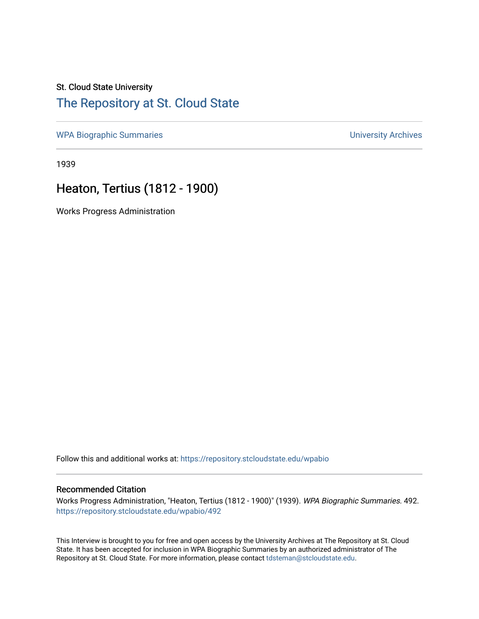### St. Cloud State University

## [The Repository at St. Cloud State](https://repository.stcloudstate.edu/)

[WPA Biographic Summaries](https://repository.stcloudstate.edu/wpabio) **WPA Biographic Summaries University Archives** 

1939

# Heaton, Tertius (1812 - 1900)

Works Progress Administration

Follow this and additional works at: [https://repository.stcloudstate.edu/wpabio](https://repository.stcloudstate.edu/wpabio?utm_source=repository.stcloudstate.edu%2Fwpabio%2F492&utm_medium=PDF&utm_campaign=PDFCoverPages) 

#### Recommended Citation

Works Progress Administration, "Heaton, Tertius (1812 - 1900)" (1939). WPA Biographic Summaries. 492. [https://repository.stcloudstate.edu/wpabio/492](https://repository.stcloudstate.edu/wpabio/492?utm_source=repository.stcloudstate.edu%2Fwpabio%2F492&utm_medium=PDF&utm_campaign=PDFCoverPages) 

This Interview is brought to you for free and open access by the University Archives at The Repository at St. Cloud State. It has been accepted for inclusion in WPA Biographic Summaries by an authorized administrator of The Repository at St. Cloud State. For more information, please contact [tdsteman@stcloudstate.edu.](mailto:tdsteman@stcloudstate.edu)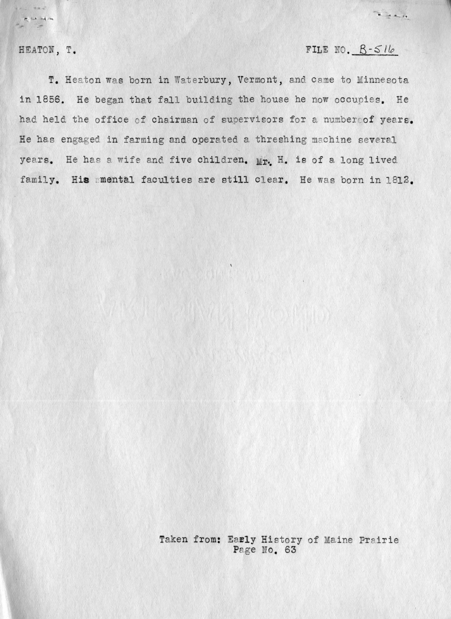FILE NO.  $B-516$ 

----

HEATON, T.

nul sav

T. Heaton was born in Waterbury, Vermont, and came to Minnesota in 1856. He began that fall building the house he now occupies. He had held the office of chairman of supervisors for a number of years. He has engaged in farming and operated a threshing machine several years. He has a wife and five children. Mr. H. is of a long lived family. His mmental faculties are still clear. He was born in 1812.

> Taken from: Early History of Maine Prairie Page No. 63